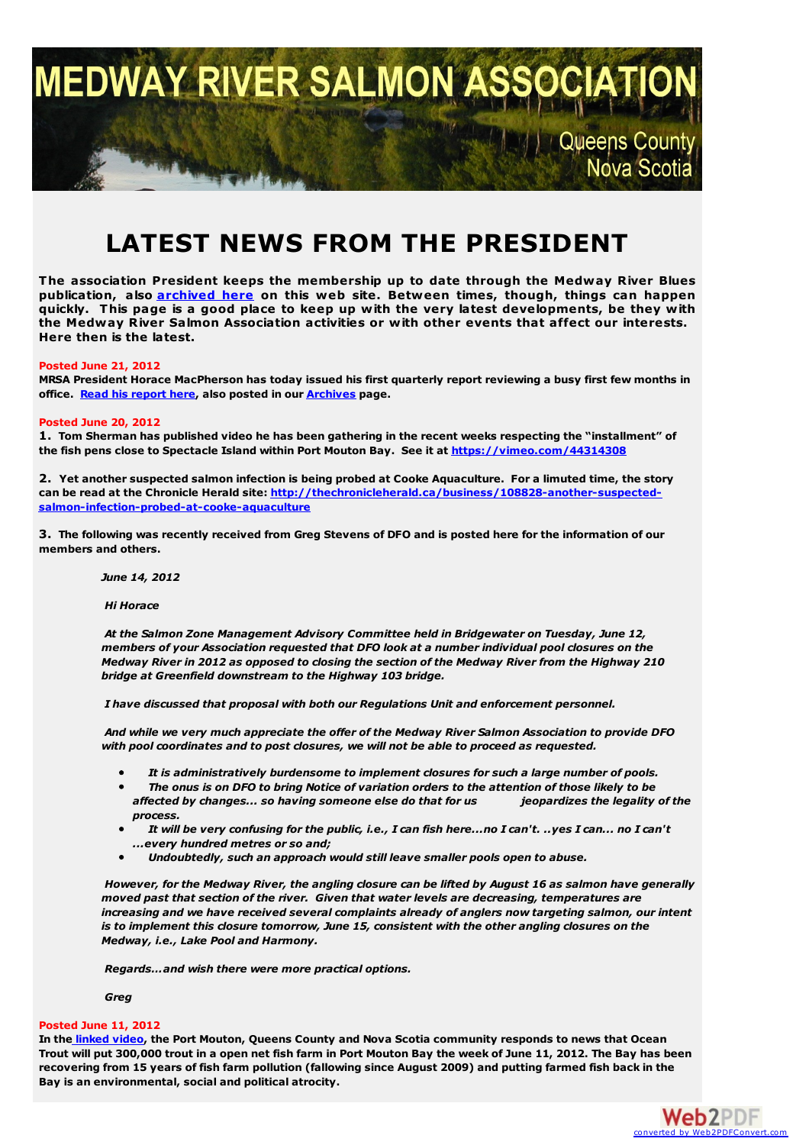

# **LATEST NEWS FROM THE PRESIDENT**

**The association President keeps the membership up to date through the Medway River Blues publication, also [archived](http://medwayriversalmonassociation.org/archives/archives.html) here on this web site. Between times, though, things can happen quickly. This page is a good place to keep up with the very latest developments, be they with the Medway River Salmon Association activities or with other events that affect our interests. Here then is the latest.**

## **Posted June 21, 2012**

MRSA President Horace MacPherson has today issued his first quarterly report reviewing a busy first few months in **office. Read his [report](http://medwayriversalmonassociation.org/archives/QuarterlyReportJune2012.pdf) here, also posted in our [Archives](http://medwayriversalmonassociation.org/archives/archives.html) page.**

## **Posted June 20, 2012**

1. Tom Sherman has published video he has been gathering in the recent weeks respecting the "installment" of **the fish pens close to Spectacle Island within Port Mouton Bay. See it at <https://vimeo.com/44314308>**

2. Yet another suspected salmon infection is being probed at Cooke Aquaculture. For a limuted time, the story **can be read at the Chronicle Herald site: [http://thechronicleherald.ca/business/108828-another-suspected](http://thechronicleherald.ca/business/108828-another-suspected-salmon-infection-probed-at-cooke-aquaculture)salmon-infection-probed-at-cooke-aquaculture**

3. The following was recently received from Greg Stevens of DFO and is posted here for the information of our **members and others.**

*June 14, 2012*

*Hi Horace*

*At the Salmon Zone Management Advisory Committee held in Bridgewater on Tuesday, June 12, members of your Association requested that DFO look at a number individual pool closures on the Medway River in 2012 as opposed to closing the section of the Medway River from the Highway 210 bridge at Greenfield downstream to the Highway 103 bridge.*

*I have discussed that proposal with both our Regulations Unit and enforcement personnel.*

*And while we very much appreciate the offer of the Medway River Salmon Association to provide DFO with pool coordinates and to post closures, we will not be able to proceed as requested.*

- *It is administratively burdensome to implement closures for such a large number of pools.*
- The onus is on DFO to bring Notice of variation orders to the attention of those likely to be *affected by changes... so having someone else do that for us jeopardizes the legality of the process.*
- It will be very confusing for the public, i.e., I can fish here...no I can't. ..yes I can... no I can't *...every hundred metres or so and;*
- $\bullet$ *Undoubtedly, such an approach would still leave smaller pools open to abuse.*

However, for the Medway River, the angling closure can be lifted by August 16 as salmon have generally *moved past that section of the river. Given that water levels are decreasing, temperatures are increasing and we have received several complaints already of anglers now targeting salmon, our intent is to implement this closure tomorrow, June 15, consistent with the other angling closures on the Medway, i.e., Lake Pool and Harmony.*

*Regards…and wish there were more practical options.*

*Greg*

# **Posted June 11, 2012**

In the [linked](http://www.youtube.com/watch?v=aIsUhH3baqY) video, the Port Mouton, Queens County and Nova Scotia community responds to news that Ocean Trout will put 300,000 trout in a open net fish farm in Port Mouton Bay the week of June 11, 2012. The Bay has been recovering from 15 years of fish farm pollution (fallowing since August 2009) and putting farmed fish back in the **Bay is an environmental, social and political atrocity.**

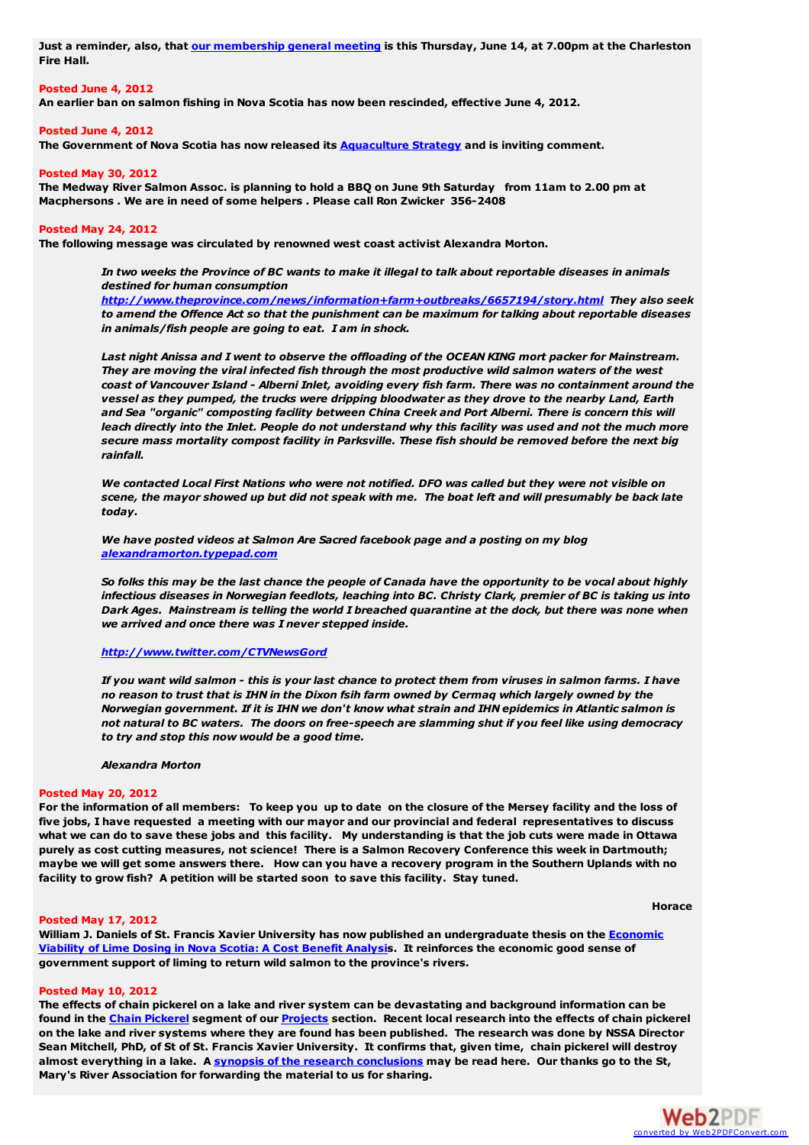Just a reminder, also, that our [membership](http://medwayriversalmonassociation.org/expires15jun2012-1.pdf) general meeting is this Thursday, June 14, at 7.00pm at the Charleston **Fire Hall.**

# **Posted June 4, 2012**

**An earlier ban on salmon fishing in Nova Scotia has now been rescinded, effective June 4, 2012.**

#### **Posted June 4, 2012**

**The Government of Nova Scotia has now released its [Aquaculture](http://ndp.us2.list-manage1.com/track/click?u=d232e2b26689add3318d78a36&id=dae85d3d36&e=dbedf0de3c) Strategy and is inviting comment.**

#### **Posted May 30, 2012**

The Medway River Salmon Assoc. is planning to hold a BBQ on June 9th Saturday from 11am to 2.00 pm at **Macphersons . We are in need of some helpers . Please call Ron Zwicker 356-2408**

#### **Posted May 24, 2012**

**The following message was circulated by renowned west coast activist Alexandra Morton.**

In two weeks the Province of BC wants to make it illegal to talk about reportable diseases in animals *destined for human consumption*

*<http://www.theprovince.com/news/information+farm+outbreaks/6657194/story.html> They also seek to amend the Offence Act so that the punishment can be maximum for talking about reportable diseases in animals/fish people are going to eat. I am in shock.*

Last night Anissa and I went to observe the offloading of the OCEAN KING mort packer for Mainstream. *They are moving the viral infected fish through the most productive wild salmon waters of the west coast of Vancouver Island - Alberni Inlet, avoiding every fish farm. There was no containment around the vessel as they pumped, the trucks were dripping bloodwater as they drove to the nearby Land, Earth and Sea "organic" composting facility between China Creek and Port Alberni. There is concern this will* leach directly into the Inlet. People do not understand why this facility was used and not the much more *secure mass mortality compost facility in Parksville. These fish should be removed before the next big rainfall.*

We contacted Local First Nations who were not notified. DFO was called but they were not visible on scene, the mayor showed up but did not speak with me. The boat left and will presumably be back late *today.*

*We have posted videos at Salmon Are Sacred facebook page and a posting on my blog [alexandramorton.typepad.com](http://alexandramorton.typepad.com/)*

So folks this may be the last chance the people of Canada have the opportunity to be vocal about highly infectious diseases in Norwegian feedlots, leaching into BC. Christy Clark, premier of BC is taking us into Dark Ages. Mainstream is telling the world I breached quarantine at the dock, but there was none when *we arrived and once there was I never stepped inside.*

## *<http://www.twitter.com/CTVNewsGord>*

If you want wild salmon - this is your last chance to protect them from viruses in salmon farms. I have no reason to trust that is IHN in the Dixon fsih farm owned by Cermaq which largely owned by the Norwegian government. If it is IHN we don't know what strain and IHN epidemics in Atlantic salmon is not natural to BC waters. The doors on free-speech are slamming shut if you feel like using democracy *to try and stop this now would be a good time.*

*Alexandra Morton*

#### **Posted May 20, 2012**

For the information of all members: To keep you up to date on the closure of the Mersey facility and the loss of five jobs, I have requested a meeting with our mayor and our provincial and federal representatives to discuss what we can do to save these jobs and this facility. My understanding is that the job cuts were made in Ottawa purely as cost cutting measures, not science! There is a Salmon Recovery Conference this week in Dartmouth; maybe we will get some answers there. How can you have a recovery program in the Southern Uplands with no **facility to grow fish? A petition will be started soon to save this facility. Stay tuned.**

#### **Posted May 17, 2012**

William J. Daniels of St. Francis Xavier University has now published an [undergraduate](http://medwayriversalmonassociation.org/archives/EconomicViabilityOfLimeDosingInNovaScotia.pdf) thesis on the Economic Viability of Lime Dosing in Nova Scotia: A Cost Benefit Analysis. It reinforces the economic good sense of **government support of liming to return wild salmon to the province's rivers.**

#### **Posted May 10, 2012**

The effects of chain pickerel on a lake and river system can be devastating and background information can be found in the Chain [Pickerel](http://medwayriversalmonassociation.org/projects/chainpickerel/chainpickerel.html) segment of our [Projects](http://medwayriversalmonassociation.org/projects/projects.html) section. Recent local research into the effects of chain pickerel on the lake and river systems where they are found has been published. The research was done by NSSA Director Sean Mitchell, PhD, of St of St. Francis Xavier University. It confirms that, given time, chain pickerel will destroy almost everything in a lake. A synopsis of the research [conclusions](http://medwayriversalmonassociation.org/projects/chainpickerel/EffectOfChainPickerel.pdf) may be read here. Our thanks go to the St, **Mary's River Association for forwarding the material to us for sharing.**



**Horace**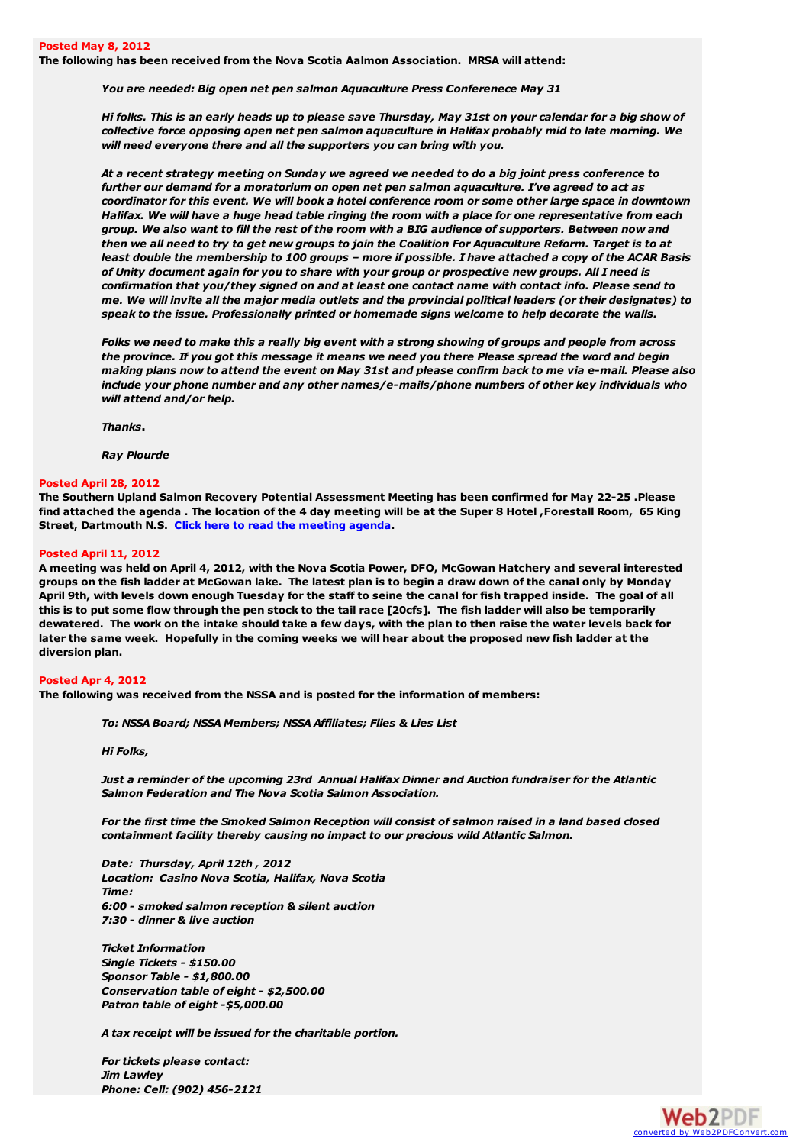**The following has been received from the Nova Scotia Aalmon Association. MRSA will attend:**

*You are needed: Big open net pen salmon Aquaculture Press Conferenece May 31*

Hi folks. This is an early heads up to please save Thursday, May 31st on your calendar for a big show of *collective force opposing open net pen salmon aquaculture in Halifax probably mid to late morning. We will need everyone there and all the supporters you can bring with you.*

At a recent strategy meeting on Sunday we agreed we needed to do a big joint press conference to *further our demand for a moratorium on open net pen salmon aquaculture. I've agreed to act as* coordinator for this event. We will book a hotel conference room or some other large space in downtown Halifax. We will have a huge head table ringing the room with a place for one representative from each group. We also want to fill the rest of the room with a BIG audience of supporters. Between now and then we all need to try to get new groups to join the Coalition For Aquaculture Reform. Target is to at least double the membership to 100 groups - more if possible. I have attached a copy of the ACAR Basis of Unity document again for you to share with your group or prospective new groups. All I need is *confirmation that you/they signed on and at least one contact name with contact info. Please send to* me. We will invite all the major media outlets and the provincial political leaders (or their designates) to *speak to the issue. Professionally printed or homemade signs welcome to help decorate the walls.*

Folks we need to make this a really big event with a strong showing of groups and people from across the province. If you got this message it means we need you there Please spread the word and begin making plans now to attend the event on May 31st and please confirm back to me via e-mail. Please also *include your phone number and any other names/e-mails/phone numbers of other key individuals who will attend and/or help.*

*Thanks***.**

*Ray Plourde*

#### **Posted April 28, 2012**

**The Southern Upland Salmon Recovery Potential Assessment Meeting has been confirmed for May 22-25 .Please** find attached the agenda . The location of the 4 day meeting will be at the Super 8 Hotel , Forestall Room, 65 King **Street, Dartmouth N.S. Click here to read the [meeting](http://medwayriversalmonassociation.org/presidentsnews/Expires28May2012.pdf) agenda.**

#### **Posted April 11, 2012**

A meeting was held on April 4, 2012, with the Nova Scotia Power, DFO, McGowan Hatchery and several interested groups on the fish ladder at McGowan lake. The latest plan is to begin a draw down of the canal only by Monday April 9th, with levels down enough Tuesday for the staff to seine the canal for fish trapped inside. The goal of all this is to put some flow through the pen stock to the tail race [20cfs]. The fish ladder will also be temporarily dewatered. The work on the intake should take a few days, with the plan to then raise the water levels back for later the same week. Hopefully in the coming weeks we will hear about the proposed new fish ladder at the **diversion plan.**

#### **Posted Apr 4, 2012**

**The following was received from the NSSA and is posted for the information of members:**

*To: NSSA Board; NSSA Members; NSSA Affiliates; Flies & Lies List*

*Hi Folks,*

*Just a reminder of the upcoming 23rd Annual Halifax Dinner and Auction fundraiser for the Atlantic Salmon Federation and The Nova Scotia Salmon Association.*

For the first time the Smoked Salmon Reception will consist of salmon raised in a land based closed *containment facility thereby causing no impact to our precious wild Atlantic Salmon.*

*Date: Thursday, April 12th , 2012 Location: Casino Nova Scotia, Halifax, Nova Scotia Time: 6:00 - smoked salmon reception & silent auction 7:30 - dinner & live auction*

*Ticket Information Single Tickets - \$150.00 Sponsor Table - \$1,800.00 Conservation table of eight - \$2,500.00 Patron table of eight -\$5,000.00*

*A tax receipt will be issued for the charitable portion.*

*For tickets please contact: Jim Lawley Phone: Cell: (902) 456-2121*